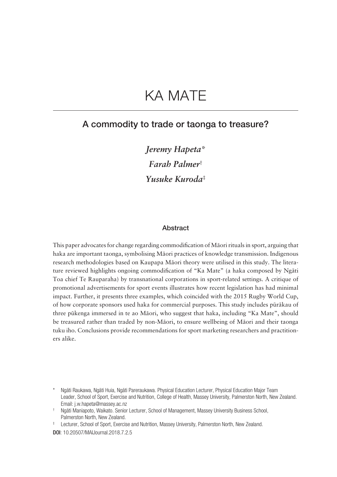# KA MATE

# A commodity to trade or taonga to treasure?

*Jeremy Hapeta\* Farah Palmer*† *Yusuke Kuroda*‡

#### **Abstract**

This paper advocates for change regarding commodification of Mäori rituals in sport, arguing that haka are important taonga, symbolising Mäori practices of knowledge transmission. Indigenous research methodologies based on Kaupapa Mäori theory were utilised in this study. The literature reviewed highlights ongoing commodification of "Ka Mate" (a haka composed by Ngäti Toa chief Te Rauparaha) by transnational corporations in sport-related settings. A critique of promotional advertisements for sport events illustrates how recent legislation has had minimal impact. Further, it presents three examples, which coincided with the 2015 Rugby World Cup, of how corporate sponsors used haka for commercial purposes. This study includes püräkau of three pükenga immersed in te ao Mäori, who suggest that haka, including "Ka Mate", should be treasured rather than traded by non-Mäori, to ensure wellbeing of Mäori and their taonga tuku iho. Conclusions provide recommendations for sport marketing researchers and practitioners alike.

Ngāti Raukawa, Ngāti Huia, Ngāti Pareraukawa. Physical Education Lecturer, Physical Education Major Team Leader, School of Sport, Exercise and Nutrition, College of Health, Massey University, Palmerston North, New Zealand. Email: [j.w.hapeta@massey.ac.nz](mailto:j.w.hapeta@massey.ac.nz)

<sup>†</sup> Ngäti Maniapoto, Waikato. Senior Lecturer, School of Management, Massey University Business School, Palmerston North, New Zealand.

<sup>‡</sup> Lecturer, School of Sport, Exercise and Nutrition, Massey University, Palmerston North, New Zealand.

DOI: 10.20507/MAIJournal.2018.7.2.5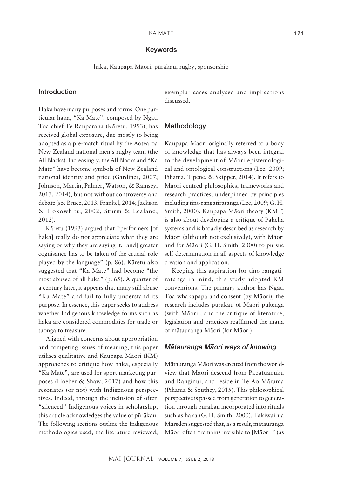#### Keywords

haka, Kaupapa Mäori, püräkau, rugby, sponsorship

## Introduction

Haka have many purposes and forms. One particular haka, "Ka Mate", composed by Ngäti Toa chief Te Rauparaha (Käretu, 1993), has received global exposure, due mostly to being adopted as a pre-match ritual by the Aotearoa New Zealand national men's rugby team (the All Blacks). Increasingly, the All Blacks and "Ka Mate" have become symbols of New Zealand national identity and pride (Gardiner, 2007; Johnson, Martin, Palmer, Watson, & Ramsey, 2013, 2014), but not without controversy and debate (see Bruce, 2013; Frankel, 2014; Jackson & Hokowhitu, 2002; Sturm & Lealand, 2012).

Käretu (1993) argued that "performers [of haka] really do not appreciate what they are saying or why they are saying it, [and] greater cognisance has to be taken of the crucial role played by the language" (p. 86). Käretu also suggested that "Ka Mate" had become "the most abused of all haka" (p. 65). A quarter of a century later, it appears that many still abuse "Ka Mate" and fail to fully understand its purpose. In essence, this paper seeks to address whether Indigenous knowledge forms such as haka are considered commodities for trade or taonga to treasure.

Aligned with concerns about appropriation and competing issues of meaning, this paper utilises qualitative and Kaupapa Mäori (KM) approaches to critique how haka, especially "Ka Mate", are used for sport marketing purposes (Hoeber & Shaw, 2017) and how this resonates (or not) with Indigenous perspectives. Indeed, through the inclusion of often "silenced" Indigenous voices in scholarship, this article acknowledges the value of püräkau. The following sections outline the Indigenous methodologies used, the literature reviewed, exemplar cases analysed and implications discussed.

#### Methodology

Kaupapa Mäori originally referred to a body of knowledge that has always been integral to the development of Mäori epistemological and ontological constructions (Lee, 2009; Pihama, Tipene, & Skipper, 2014). It refers to Mäori-centred philosophies, frameworks and research practices, underpinned by principles including tino rangatiratanga (Lee, 2009; G. H. Smith, 2000). Kaupapa Mäori theory (KMT) is also about developing a critique of Päkehä systems and is broadly described as research by Mäori (although not exclusively), with Mäori and for Mäori (G. H. Smith, 2000) to pursue self-determination in all aspects of knowledge creation and application.

Keeping this aspiration for tino rangatiratanga in mind, this study adopted KM conventions. The primary author has Ngäti Toa whakapapa and consent (by Mäori), the research includes püräkau of Mäori pükenga (with Māori), and the critique of literature, legislation and practices reaffirmed the mana of mätauranga Mäori (for Mäori).

# *M– atauranga M– aori ways of knowing*

Mätauranga Mäori was created from the worldview that Mäori descend from Papatuänuku and Ranginui, and reside in Te Ao Märama (Pihama & Southey, 2015). This philosophical perspective is passed from generation to generation through püräkau incorporated into rituals such as haka (G. H. Smith, 2000). Takiwairua Marsden suggested that, as a result, mätauranga Mäori often "remains invisible to [Mäori]" (as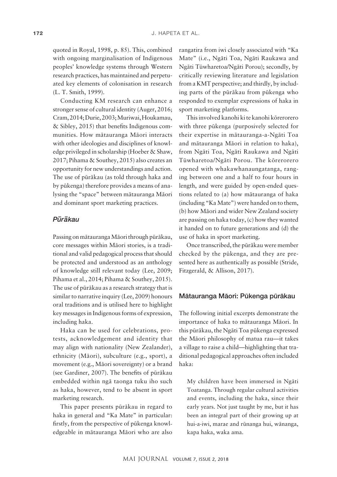quoted in Royal, 1998, p. 85). This, combined with ongoing marginalisation of Indigenous peoples' knowledge systems through Western research practices, has maintained and perpetuated key elements of colonisation in research (L. T. Smith, 1999).

Conducting KM research can enhance a stronger sense of cultural identity (Auger, 2016; Cram, 2014; Durie, 2003; Muriwai, Houkamau, & Sibley, 2015) that benefits Indigenous communities. How mätauranga Mäori interacts with other ideologies and disciplines of knowledge privileged in scholarship (Hoeber & Shaw, 2017; Pihama & Southey, 2015) also creates an opportunity for new understandings and action. The use of püräkau (as told through haka and by pükenga) therefore provides a means of analysing the "space" between mätauranga Mäori and dominant sport marketing practices.

# *P– ur – akau*

Passing on mätauranga Mäori through püräkau, core messages within Mäori stories, is a traditional and valid pedagogical process that should be protected and understood as an anthology of knowledge still relevant today (Lee, 2009; Pihama et al., 2014; Pihama & Southey, 2015). The use of püräkau as a research strategy that is similar to narrative inquiry (Lee, 2009) honours oral traditions and is utilised here to highlight key messages in Indigenous forms of expression, including haka.

Haka can be used for celebrations, protests, acknowledgement and identity that may align with nationality (New Zealander), ethnicity (Mäori), subculture (e.g., sport), a movement (e.g., Mäori sovereignty) or a brand (see Gardiner, 2007). The benefits of püräkau embedded within ngä taonga tuku iho such as haka, however, tend to be absent in sport marketing research.

This paper presents püräkau in regard to haka in general and "Ka Mate" in particular: firstly, from the perspective of pükenga knowledgeable in mätauranga Mäori who are also rangatira from iwi closely associated with "Ka Mate" (i.e., Ngäti Toa, Ngäti Raukawa and Ngäti Tüwharetoa/Ngäti Porou); secondly, by critically reviewing literature and legislation from a KMT perspective; and thirdly, by including parts of the püräkau from pükenga who responded to exemplar expressions of haka in sport marketing platforms.

This involved kanohi ki te kanohi körerorero with three pükenga (purposively selected for their expertise in mätauranga-a-Ngäti Toa and mätauranga Mäori in relation to haka), from Ngäti Toa, Ngäti Raukawa and Ngäti Tüwharetoa/Ngäti Porou. The körerorero opened with whakawhanaungatanga, ranging between one and a half to four hours in length, and were guided by open-ended questions related to (a) how mätauranga of haka (including "Ka Mate") were handed on to them, (b) how Mäori and wider New Zealand society are passing on haka today, (c) how they wanted it handed on to future generations and (d) the use of haka in sport marketing.

Once transcribed, the püräkau were member checked by the pükenga, and they are presented here as authentically as possible (Stride, Fitzgerald, & Allison, 2017).

### Mätauranga Mäori: Pükenga püräkau

The following initial excerpts demonstrate the importance of haka to mätauranga Mäori. In this püräkau, the Ngäti Toa pükenga expressed the Mäori philosophy of matua rau—it takes a village to raise a child—highlighting that traditional pedagogical approaches often included haka:

My children have been immersed in Ngäti Toatanga. Through regular cultural activities and events, including the haka, since their early years. Not just taught by me, but it has been an integral part of their growing up at hui-a-iwi, marae and rünanga hui, wänanga, kapa haka, waka ama.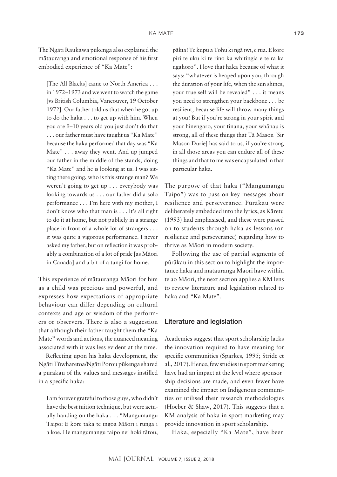The Ngäti Raukawa pükenga also explained the mätauranga and emotional response of his first embodied experience of "Ka Mate":

[The All Blacks] came to North America . . . in 1972–1973 and we went to watch the game [vs British Columbia, Vancouver, 19 October 1972]. Our father told us that when he got up to do the haka . . . to get up with him. When you are 9–10 years old you just don't do that . . . our father must have taught us "Ka Mate" because the haka performed that day was "Ka Mate" . . . away they went. And up jumped our father in the middle of the stands, doing "Ka Mate" and he is looking at us. I was sitting there going, who is this strange man? We weren't going to get up . . . everybody was looking towards us . . . our father did a solo performance . . . I'm here with my mother, I don't know who that man is . . . It's all right to do it at home, but not publicly in a strange place in front of a whole lot of strangers . . . it was quite a vigorous performance. I never asked my father, but on reflection it was probably a combination of a lot of pride [as Mäori in Canada] and a bit of a tangi for home.

This experience of mätauranga Mäori for him as a child was precious and powerful, and expresses how expectations of appropriate behaviour can differ depending on cultural contexts and age or wisdom of the performers or observers. There is also a suggestion that although their father taught them the "Ka Mate" words and actions, the nuanced meaning associated with it was less evident at the time.

Reflecting upon his haka development, the Ngäti Tüwharetoa/Ngäti Porou pükenga shared a püräkau of the values and messages instilled in a specific haka:

I am forever grateful to those guys, who didn't have the best tuition technique, but were actually handing on the haka . . . "Mangumangu Taipo: E kore taka te ingoa Mäori i runga i a koe. He mangumangu taipo nei hoki tätou,

päkia! Te kupu a Tohu ki ngä iwi, e rua. E kore piri te uku ki te rino ka whitingia e te ra ka ngahoro". I love that haka because of what it says: "whatever is heaped upon you, through the duration of your life, when the sun shines, your true self will be revealed" . . . it means you need to strengthen your backbone . . . be resilient, because life will throw many things at you! But if you're strong in your spirit and your hinengaro, your tinana, your whänau is strong, all of these things that Tä Mason [Sir Mason Durie] has said to us, if you're strong in all those areas you can endure all of these things and that to me was encapsulated in that particular haka.

The purpose of that haka ("Mangumangu Taipo") was to pass on key messages about resilience and perseverance. Püräkau were deliberately embedded into the lyrics, as Käretu (1993) had emphasised, and these were passed on to students through haka as lessons (on resilience and perseverance) regarding how to thrive as Mäori in modern society.

Following the use of partial segments of püräkau in this section to highlight the importance haka and mätauranga Mäori have within te ao Mäori, the next section applies a KM lens to review literature and legislation related to haka and "Ka Mate".

# Literature and legislation

Academics suggest that sport scholarship lacks the innovation required to have meaning for specific communities (Sparkes, 1995; Stride et al., 2017). Hence, few studies in sport marketing have had an impact at the level where sponsorship decisions are made, and even fewer have examined the impact on Indigenous communities or utilised their research methodologies (Hoeber & Shaw, 2017). This suggests that a KM analysis of haka in sport marketing may provide innovation in sport scholarship.

Haka, especially "Ka Mate", have been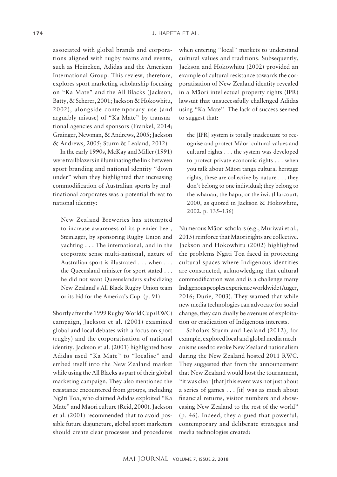associated with global brands and corporations aligned with rugby teams and events, such as Heineken, Adidas and the American International Group. This review, therefore, explores sport marketing scholarship focusing on "Ka Mate" and the All Blacks (Jackson, Batty, & Scherer, 2001; Jackson & Hokowhitu, 2002), alongside contemporary use (and arguably misuse) of "Ka Mate" by transnational agencies and sponsors (Frankel, 2014; Grainger, Newman, & Andrews, 2005; Jackson & Andrews, 2005; Sturm & Lealand, 2012).

In the early 1990s, McKay and Miller (1991) were trailblazers in illuminating the link between sport branding and national identity "down under" when they highlighted that increasing commodification of Australian sports by multinational corporates was a potential threat to national identity:

New Zealand Breweries has attempted to increase awareness of its premier beer, Steinlager, by sponsoring Rugby Union and yachting . . . The international, and in the corporate sense multi-national, nature of Australian sport is illustrated . . . when . . . the Queensland minister for sport stated . . . he did not want Queenslanders subsidizing New Zealand's All Black Rugby Union team or its bid for the America's Cup. (p. 91)

Shortly after the 1999 Rugby World Cup (RWC) campaign, Jackson et al. (2001) examined global and local debates with a focus on sport (rugby) and the corporatisation of national identity. Jackson et al. (2001) highlighted how Adidas used "Ka Mate" to "localise" and embed itself into the New Zealand market while using the All Blacks as part of their global marketing campaign. They also mentioned the resistance encountered from groups, including Ngäti Toa, who claimed Adidas exploited "Ka Mate" and Mäori culture (Reid, 2000). Jackson et al. (2001) recommended that to avoid possible future disjuncture, global sport marketers should create clear processes and procedures when entering "local" markets to understand cultural values and traditions. Subsequently, Jackson and Hokowhitu (2002) provided an example of cultural resistance towards the corporatisation of New Zealand identity revealed in a Mäori intellectual property rights (IPR) lawsuit that unsuccessfully challenged Adidas using "Ka Mate". The lack of success seemed to suggest that:

the [IPR] system is totally inadequate to recognise and protect Mäori cultural values and cultural rights . . . the system was developed to protect private economic rights . . . when you talk about Mäori tanga cultural heritage rights, these are collective by nature . . . they don't belong to one individual; they belong to the whanau, the hapu, or the iwi. (Harcourt, 2000, as quoted in Jackson & Hokowhitu, 2002, p. 135–136)

Numerous Mäori scholars (e.g., Muriwai et al., 2015) reinforce that Mäori rights are collective. Jackson and Hokowhitu (2002) highlighted the problems Ngäti Toa faced in protecting cultural spaces where Indigenous identities are constructed, acknowledging that cultural commodification was and is a challenge many Indigenous peoples experience worldwide (Auger, 2016; Durie, 2003). They warned that while new media technologies can advocate for social change, they can dually be avenues of exploitation or eradication of Indigenous interests.

Scholars Sturm and Lealand (2012), for example, explored local and global media mechanisms used to evoke New Zealand nationalism during the New Zealand hosted 2011 RWC. They suggested that from the announcement that New Zealand would host the tournament, "it was clear [that] this event was not just about a series of games . . . [it] was as much about financial returns, visitor numbers and showcasing New Zealand to the rest of the world" (p. 46). Indeed, they argued that powerful, contemporary and deliberate strategies and media technologies created: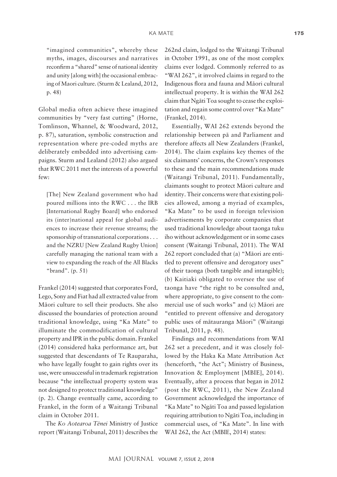"imagined communities", whereby these myths, images, discourses and narratives reconfirm a "shared" sense of national identity and unity [along with] the occasional embracing of Maori culture. (Sturm & Lealand, 2012, p. 48)

Global media often achieve these imagined communities by "very fast cutting" (Horne, Tomlinson, Whannel, & Woodward, 2012, p. 87), saturation, symbolic construction and representation where pre-coded myths are deliberately embedded into advertising campaigns. Sturm and Lealand (2012) also argued that RWC 2011 met the interests of a powerful few:

[The] New Zealand government who had poured millions into the RWC . . . the IRB [International Rugby Board] who endorsed its (inter)national appeal for global audiences to increase their revenue streams; the sponsorship of transnational corporations . . . and the NZRU [New Zealand Rugby Union] carefully managing the national team with a view to expanding the reach of the All Blacks "brand". (p. 51)

Frankel (2014) suggested that corporates Ford, Lego, Sony and Fiat had all extracted value from Mäori culture to sell their products. She also discussed the boundaries of protection around traditional knowledge, using "Ka Mate" to illuminate the commodification of cultural property and IPR in the public domain. Frankel (2014) considered haka performance art, but suggested that descendants of Te Rauparaha, who have legally fought to gain rights over its use, were unsuccessful in trademark registration because "the intellectual property system was not designed to protect traditional knowledge" (p. 2). Change eventually came, according to Frankel, in the form of a Waitangi Tribunal claim in October 2011.

The *Ko Aotearoa Tënei* Ministry of Justice report (Waitangi Tribunal, 2011) describes the

262nd claim, lodged to the Waitangi Tribunal in October 1991, as one of the most complex claims ever lodged. Commonly referred to as "WAI 262", it involved claims in regard to the Indigenous flora and fauna and Mäori cultural intellectual property. It is within the WAI 262 claim that Ngäti Toa sought to cease the exploitation and regain some control over "Ka Mate" (Frankel, 2014).

Essentially, WAI 262 extends beyond the relationship between pä and Parliament and therefore affects all New Zealanders (Frankel, 2014). The claim explains key themes of the six claimants' concerns, the Crown's responses to these and the main recommendations made (Waitangi Tribunal, 2011). Fundamentally, claimants sought to protect Mäori culture and identity. Their concerns were that existing policies allowed, among a myriad of examples, "Ka Mate" to be used in foreign television advertisements by corporate companies that used traditional knowledge about taonga tuku iho without acknowledgement or in some cases consent (Waitangi Tribunal, 2011). The WAI 262 report concluded that (a) "Mäori are entitled to prevent offensive and derogatory uses" of their taonga (both tangible and intangible); (b) Kaitiaki obligated to oversee the use of taonga have "the right to be consulted and, where appropriate, to give consent to the commercial use of such works" and (c) Mäori are "entitled to prevent offensive and derogatory public uses of mätauranga Mäori" (Waitangi Tribunal, 2011, p. 48).

Findings and recommendations from WAI 262 set a precedent, and it was closely followed by the Haka Ka Mate Attribution Act (henceforth, "the Act"; Ministry of Business, Innovation & Employment [MBIE], 2014). Eventually, after a process that began in 2012 (post the RWC, 2011), the New Zealand Government acknowledged the importance of "Ka Mate" to Ngäti Toa and passed legislation requiring attribution to Ngäti Toa, including in commercial uses, of "Ka Mate". In line with WAI 262, the Act (MBIE, 2014) states: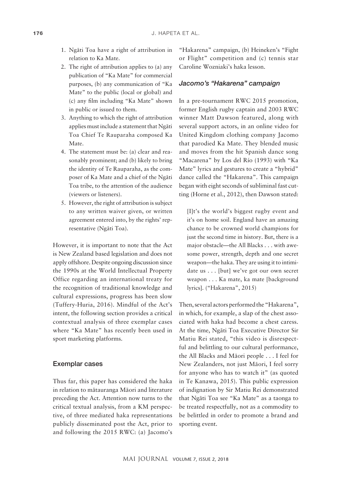- 1. Ngäti Toa have a right of attribution in relation to Ka Mate.
- 2. The right of attribution applies to (a) any publication of "Ka Mate" for commercial purposes, (b) any communication of "Ka Mate" to the public (local or global) and (c) any film including "Ka Mate" shown in public or issued to them.
- 3. Anything to which the right of attribution applies must include a statement that Ngäti Toa Chief Te Rauparaha composed Ka Mate.
- 4. The statement must be: (a) clear and reasonably prominent; and (b) likely to bring the identity of Te Rauparaha, as the composer of Ka Mate and a chief of the Ngäti Toa tribe, to the attention of the audience (viewers or listeners).
- 5. However, the right of attribution is subject to any written waiver given, or written agreement entered into, by the rights' representative (Ngäti Toa).

However, it is important to note that the Act is New Zealand based legislation and does not apply offshore. Despite ongoing discussion since the 1990s at the World Intellectual Property Office regarding an international treaty for the recognition of traditional knowledge and cultural expressions, progress has been slow (Tuffery-Huria, 2016). Mindful of the Act's intent, the following section provides a critical contextual analysis of three exemplar cases where "Ka Mate" has recently been used in sport marketing platforms.

## Exemplar cases

Thus far, this paper has considered the haka in relation to mätauranga Mäori and literature preceding the Act. Attention now turns to the critical textual analysis, from a KM perspective, of three mediated haka representations publicly disseminated post the Act, prior to and following the 2015 RWC: (a) Jacomo's

"Hakarena" campaign, (b) Heineken's "Fight or Flight" competition and (c) tennis star Caroline Wozniaki's haka lesson.

#### *Jacomo's "Hakarena" campaign*

In a pre-tournament RWC 2015 promotion, former English rugby captain and 2003 RWC winner Matt Dawson featured, along with several support actors, in an online video for United Kingdom clothing company Jacomo that parodied Ka Mate. They blended music and moves from the hit Spanish dance song "Macarena" by Los del Río (1993) with "Ka Mate" lyrics and gestures to create a "hybrid" dance called the "Hakarena". This campaign began with eight seconds of subliminal fast cutting (Horne et al., 2012), then Dawson stated:

[I]t's the world's biggest rugby event and it's on home soil. England have an amazing chance to be crowned world champions for just the second time in history. But, there is a major obstacle—the All Blacks . . . with awesome power, strength, depth and one secret weapon—the haka. They are using it to intimidate us . . . [but] we've got our own secret weapon . . . Ka mate, ka mate [background lyrics]. ("Hakarena", 2015)

Then, several actors performed the "Hakarena", in which, for example, a slap of the chest associated with haka had become a chest caress. At the time, Ngäti Toa Executive Director Sir Matiu Rei stated, "this video is disrespectful and belittling to our cultural performance, the All Blacks and Mäori people . . . I feel for New Zealanders, not just Mäori, I feel sorry for anyone who has to watch it" (as quoted in Te Kanawa, 2015). This public expression of indignation by Sir Matiu Rei demonstrated that Ngäti Toa see "Ka Mate" as a taonga to be treated respectfully, not as a commodity to be belittled in order to promote a brand and sporting event.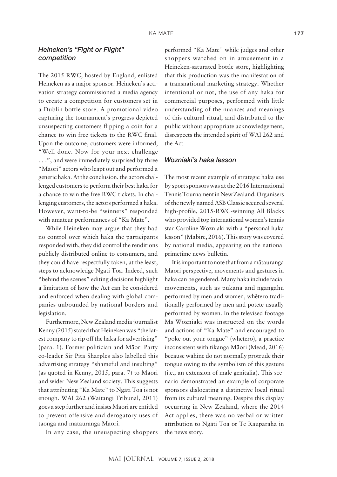# *Heineken's "Fight or Flight" competition*

The 2015 RWC, hosted by England, enlisted Heineken as a major sponsor. Heineken's activation strategy commissioned a media agency to create a competition for customers set in a Dublin bottle store. A promotional video capturing the tournament's progress depicted unsuspecting customers flipping a coin for a chance to win free tickets to the RWC final. Upon the outcome, customers were informed, "Well done. Now for your next challenge . . .", and were immediately surprised by three "Mäori" actors who leapt out and performed a generic haka. At the conclusion, the actors challenged customers to perform their best haka for a chance to win the free RWC tickets. In challenging customers, the actors performed a haka. However, want-to-be "winners" responded with amateur performances of "Ka Mate".

While Heineken may argue that they had no control over which haka the participants responded with, they did control the renditions publicly distributed online to consumers, and they could have respectfully taken, at the least, steps to acknowledge Ngäti Toa. Indeed, such "behind the scenes" editing decisions highlight a limitation of how the Act can be considered and enforced when dealing with global companies unbounded by national borders and legislation.

Furthermore, New Zealand media journalist Kenny (2015) stated that Heineken was "the latest company to rip off the haka for advertising" (para. 1). Former politician and Mäori Party co-leader Sir Pita Sharples also labelled this advertising strategy "shameful and insulting" (as quoted in Kenny, 2015, para. 7) to Mäori and wider New Zealand society. This suggests that attributing "Ka Mate" to Ngäti Toa is not enough. WAI 262 (Waitangi Tribunal, 2011) goes a step further and insists Mäori are entitled to prevent offensive and derogatory uses of taonga and mätauranga Mäori.

In any case, the unsuspecting shoppers

performed "Ka Mate" while judges and other shoppers watched on in amusement in a Heineken-saturated bottle store, highlighting that this production was the manifestation of a transnational marketing strategy. Whether intentional or not, the use of any haka for commercial purposes, performed with little understanding of the nuances and meanings of this cultural ritual, and distributed to the public without appropriate acknowledgement, disrespects the intended spirit of WAI 262 and the Act.

## *Wozniaki's haka lesson*

The most recent example of strategic haka use by sport sponsors was at the 2016 International Tennis Tournament in New Zealand. Organisers of the newly named ASB Classic secured several high-profile, 2015-RWC-winning All Blacks who provided top international women's tennis star Caroline Wozniaki with a "personal haka lesson" (Mabire, 2016). This story was covered by national media, appearing on the national primetime news bulletin.

It is important to note that from a mätauranga Mäori perspective, movements and gestures in haka can be gendered. Many haka include facial movements, such as pükana and ngangahu performed by men and women, whëtero traditionally performed by men and pötete usually performed by women. In the televised footage Ms Wozniaki was instructed on the words and actions of "Ka Mate" and encouraged to "poke out your tongue" (whëtero), a practice inconsistent with tikanga Mäori (Mead, 2016) because wähine do not normally protrude their tongue owing to the symbolism of this gesture (i.e., an extension of male genitalia). This scenario demonstrated an example of corporate sponsors dislocating a distinctive local ritual from its cultural meaning. Despite this display occurring in New Zealand, where the 2014 Act applies, there was no verbal or written attribution to Ngäti Toa or Te Rauparaha in the news story.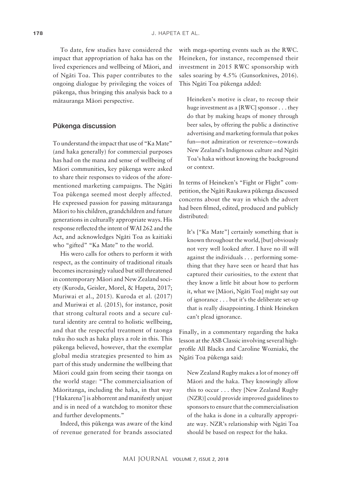To date, few studies have considered the impact that appropriation of haka has on the lived experiences and wellbeing of Mäori, and of Ngäti Toa. This paper contributes to the ongoing dialogue by privileging the voices of pükenga, thus bringing this analysis back to a mätauranga Mäori perspective.

# Pükenga discussion

To understand the impact that use of "Ka Mate" (and haka generally) for commercial purposes has had on the mana and sense of wellbeing of Mäori communities, key pükenga were asked to share their responses to videos of the aforementioned marketing campaigns. The Ngäti Toa pükenga seemed most deeply affected. He expressed passion for passing mätauranga Mäori to his children, grandchildren and future generations in culturally appropriate ways. His response reflected the intent of WAI 262 and the Act, and acknowledges Ngäti Toa as kaitiaki who "gifted" "Ka Mate" to the world.

His wero calls for others to perform it with respect, as the continuity of traditional rituals becomes increasingly valued but still threatened in contemporary Mäori and New Zealand society (Kuroda, Geisler, Morel, & Hapeta, 2017; Muriwai et al., 2015). Kuroda et al. (2017) and Muriwai et al. (2015), for instance, posit that strong cultural roots and a secure cultural identity are central to holistic wellbeing, and that the respectful treatment of taonga tuku iho such as haka plays a role in this. This pükenga believed, however, that the exemplar global media strategies presented to him as part of this study undermine the wellbeing that Mäori could gain from seeing their taonga on the world stage: "The commercialisation of Mäoritanga, including the haka, in that way ['Hakarena'] is abhorrent and manifestly unjust and is in need of a watchdog to monitor these and further developments."

Indeed, this pükenga was aware of the kind of revenue generated for brands associated

with mega-sporting events such as the RWC. Heineken, for instance, recompensed their investment in 2015 RWC sponsorship with sales soaring by 4.5% (Gunsorknives, 2016). This Ngäti Toa pükenga added:

Heineken's motive is clear, to recoup their huge investment as a [RWC] sponsor . . . they do that by making heaps of money through beer sales, by offering the public a distinctive advertising and marketing formula that pokes fun—not admiration or reverence—towards New Zealand's Indigenous culture and Ngäti Toa's haka without knowing the background or context.

In terms of Heineken's "Fight or Flight" competition, the Ngäti Raukawa pükenga discussed concerns about the way in which the advert had been filmed, edited, produced and publicly distributed:

It's ["Ka Mate"] certainly something that is known throughout the world, [but] obviously not very well looked after. I have no ill will against the individuals . . . performing something that they have seen or heard that has captured their curiosities, to the extent that they know a little bit about how to perform it, what we [Mäori, Ngäti Toa] might say out of ignorance . . . but it's the deliberate set-up that is really disappointing. I think Heineken can't plead ignorance.

Finally, in a commentary regarding the haka lesson at the ASB Classic involving several highprofile All Blacks and Caroline Wozniaki, the Ngäti Toa pükenga said:

New Zealand Rugby makes a lot of money off Mäori and the haka. They knowingly allow this to occur . . . they [New Zealand Rugby (NZR)] could provide improved guidelines to sponsors to ensure that the commercialisation of the haka is done in a culturally appropriate way. NZR's relationship with Ngäti Toa should be based on respect for the haka.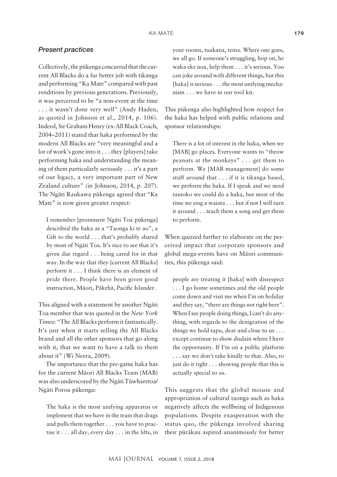# *Present practices*

Collectively, the pükenga concurred that the current All Blacks do a far better job with tikanga and performing "Ka Mate" compared with past renditions by previous generations. Previously, it was perceived to be "a non-event at the time . . . it wasn't done very well" (Andy Haden, as quoted in Johnson et al., 2014, p. 106). Indeed, Sir Graham Henry (ex-All Black Coach, 2004–2011) stated that haka performed by the modern All Blacks are "very meaningful and a lot of work's gone into it . . . they [players] take performing haka and understanding the meaning of them particularly seriously . . . it's a part of our legacy, a very important part of New Zealand culture" (in Johnson, 2014, p. 207). The Ngäti Raukawa pükenga agreed that "Ka Mate" is now given greater respect:

I remember [prominent Ngäti Toa pükenga] described the haka as a "Taonga ki te ao", a Gift to the world . . . that's probably shared by most of Ngäti Toa. It's nice to see that it's given due regard . . . being cared for in that way. In the way that they [current All Blacks] perform it . . . I think there is an element of pride there. People have been given good instruction, Mäori, Päkehä, Pacific Islander.

This aligned with a statement by another Ngäti Toa member that was quoted in the *New York Times*: "The All Blacks perform it fantastically. It's just when it starts selling the All Blacks brand and all the other sponsors that go along with it, that we want to have a talk to them about it" (Wi Neera, 2009).

The importance that the pre-game haka has for the current Mäori All Blacks Team (MAB) was also underscored by the Ngäti Tüwharetoa/ Ngäti Porou pükenga:

The haka is the most unifying apparatus or implement that we have in the team that drags and pulls them together . . . you have to practise it . . . all day, every day . . . in the lifts, in your rooms, tuakana, teina. Where one goes, we all go. If someone's struggling, hop on, he waka eke noa, help them . . . it's serious. You can joke around with different things, but this [haka] is serious . . . the most unifying mechanism . . . we have in our tool kit.

This pükenga also highlighted how respect for the haka has helped with public relations and sponsor relationships:

There is a lot of interest in the haka, when we [MAB] go places. Everyone wants to "throw peanuts at the monkeys" . . . get them to perform. We [MAB management] do some stuff around that . . . if it is tikanga based, we perform the haka. If I speak and we need tautoko we could do a haka, but most of the time we sing a waiata . . . but if not I will turn it around . . . teach them a song and get them to perform.

When quizzed further to elaborate on the perceived impact that corporate sponsors and global mega-events have on Mäori communities, this pükenga said:

people are treating it [haka] with disrespect . . . I go home sometimes and the old people come down and visit me when I'm on holiday and they say, "there are things not right here". When I see people doing things, I can't do anything, with regards to the denigration of the things we hold tapu, dear and close to us . . . except continue to show disdain where I have the opportunity. If I'm on a public platform . . . say we don't take kindly to that. Also, to just do it right . . . showing people that this is actually special to us.

This suggests that the global misuse and appropriation of cultural taonga such as haka negatively affects the wellbeing of Indigenous populations. Despite exasperation with the status quo, the pükenga involved sharing their püräkau aspired unanimously for better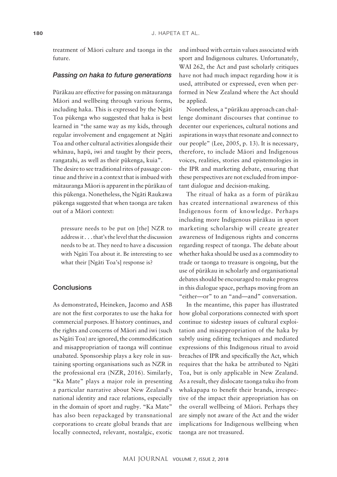treatment of Mäori culture and taonga in the future.

#### *Passing on haka to future generations*

Püräkau are effective for passing on mätauranga Mäori and wellbeing through various forms, including haka. This is expressed by the Ngäti Toa pükenga who suggested that haka is best learned in "the same way as my kids, through regular involvement and engagement at Ngäti Toa and other cultural activities alongside their whänau, hapü, iwi and taught by their peers, rangatahi, as well as their pükenga, kuia". The desire to see traditional rites of passage continue and thrive in a context that is imbued with mätauranga Mäori is apparent in the püräkau of this pükenga. Nonetheless, the Ngäti Raukawa pükenga suggested that when taonga are taken out of a Mäori context:

pressure needs to be put on [the] NZR to address it . . . that's the level that the discussion needs to be at. They need to have a discussion with Ngäti Toa about it. Be interesting to see what their [Ngäti Toa's] response is?

#### **Conclusions**

As demonstrated, Heineken, Jacomo and ASB are not the first corporates to use the haka for commercial purposes. If history continues, and the rights and concerns of Mäori and iwi (such as Ngäti Toa) are ignored, the commodification and misappropriation of taonga will continue unabated. Sponsorship plays a key role in sustaining sporting organisations such as NZR in the professional era (NZR, 2016). Similarly, "Ka Mate" plays a major role in presenting a particular narrative about New Zealand's national identity and race relations, especially in the domain of sport and rugby. "Ka Mate" has also been repackaged by transnational corporations to create global brands that are locally connected, relevant, nostalgic, exotic and imbued with certain values associated with sport and Indigenous cultures. Unfortunately, WAI 262, the Act and past scholarly critiques have not had much impact regarding how it is used, attributed or expressed, even when performed in New Zealand where the Act should be applied.

Nonetheless, a "püräkau approach can challenge dominant discourses that continue to decenter our experiences, cultural notions and aspirations in ways that resonate and connect to our people" (Lee, 2005, p. 13). It is necessary, therefore, to include Mäori and Indigenous voices, realities, stories and epistemologies in the IPR and marketing debate, ensuring that these perspectives are not excluded from important dialogue and decision-making.

The ritual of haka as a form of püräkau has created international awareness of this Indigenous form of knowledge. Perhaps including more Indigenous püräkau in sport marketing scholarship will create greater awareness of Indigenous rights and concerns regarding respect of taonga. The debate about whether haka should be used as a commodity to trade or taonga to treasure is ongoing, but the use of püräkau in scholarly and organisational debates should be encouraged to make progress in this dialogue space, perhaps moving from an "either—or" to an "and—and" conversation.

In the meantime, this paper has illustrated how global corporations connected with sport continue to sidestep issues of cultural exploitation and misappropriation of the haka by subtly using editing techniques and mediated expressions of this Indigenous ritual to avoid breaches of IPR and specifically the Act, which requires that the haka be attributed to Ngäti Toa, but is only applicable in New Zealand. As a result, they dislocate taonga tuku iho from whakapapa to benefit their brands, irrespective of the impact their appropriation has on the overall wellbeing of Mäori. Perhaps they are simply not aware of the Act and the wider implications for Indigenous wellbeing when taonga are not treasured.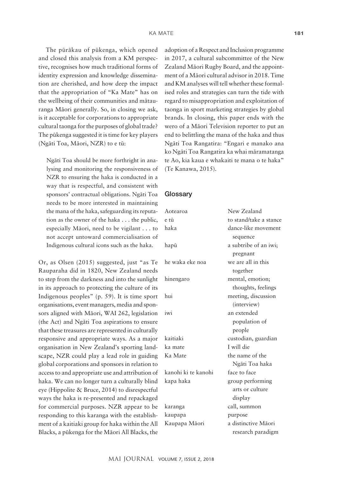The püräkau of pükenga, which opened and closed this analysis from a KM perspective, recognises how much traditional forms of identity expression and knowledge dissemination are cherished, and how deep the impact that the appropriation of "Ka Mate" has on the wellbeing of their communities and mätauranga Mäori generally. So, in closing we ask, is it acceptable for corporations to appropriate cultural taonga for the purposes of global trade? The pükenga suggested it is time for key players (Ngäti Toa, Mäori, NZR) to e tü:

Ngäti Toa should be more forthright in analysing and monitoring the responsiveness of NZR to ensuring the haka is conducted in a way that is respectful, and consistent with sponsors' contractual obligations. Ngäti Toa needs to be more interested in maintaining the mana of the haka, safeguarding its reputation as the owner of the haka . . . the public, especially Māori, need to be vigilant  $\dots$  to not accept untoward commercialisation of Indigenous cultural icons such as the haka.

Or, as Olsen (2015) suggested, just "as T Rauparaha did in 1820, New Zealand need to step from the darkness and into the sunlight in its approach to protecting the culture of it Indigenous peoples"  $(p. 59)$ . It is time sport organisations, event managers, media and sponsors aligned with Māori, WAI 262, legislation (the Act) and Ngäti Toa aspirations to ensure that these treasures are represented in culturall responsive and appropriate ways. As a major organisation in New Zealand's sporting landscape, NZR could play a lead role in guiding global corporations and sponsors in relation to access to and appropriate use and attribution of haka. We can no longer turn a culturally blind eye (Hippolite & Bruce, 2014) to disrespectful ways the haka is re-presented and repackage for commercial purposes. NZR appear to b responding to this karanga with the establishment of a kaitiaki group for haka within the All Blacks, a pükenga for the Mäori All Blacks, the adoption of a Respect and Inclusion programme in 2017, a cultural subcommittee of the New Zealand Mäori Rugby Board, and the appointment of a Mäori cultural advisor in 2018. Time and KM analyses will tell whether these formalised roles and strategies can turn the tide with regard to misappropriation and exploitation of taonga in sport marketing strategies by global brands. In closing, this paper ends with the wero of a Mäori Television reporter to put an end to belittling the mana of the haka and thus Ngäti Toa Rangatira: "Engari e manako ana ko Ngäti Toa Rangatira ka whai märamatanga te Ao, kia kaua e whakaiti te mana o te haka" (Te Kanawa, 2015).

#### **Glossary**

| $\overline{a}$ | Aotearoa            | New Zealand            |
|----------------|---------------------|------------------------|
| :,             | e tū                | to stand/take a stance |
| $\overline{O}$ | haka                | dance-like movement    |
| ١f             |                     | sequence               |
|                | hapū                | a subtribe of an iwi;  |
|                |                     | pregnant               |
| e              | he waka eke noa     | we are all in this     |
| S              |                     | together               |
| ιt             | hinengaro           | mental, emotion;       |
| `S             |                     | thoughts, feelings     |
| t              | hui                 | meeting, discussion    |
| $\vdash$       |                     | (interview)            |
| n              | iwi                 | an extended            |
| e              |                     | population of          |
| y              |                     | people                 |
| r              | kaitiaki            | custodian, guardian    |
| $\overline{a}$ | ka mate             | I will die             |
| g              | Ka Mate             | the name of the        |
| Ö              |                     | Ngāti Toa haka         |
| ١f             | kanohi ki te kanohi | face to face           |
| d              | kapa haka           | group performing       |
| ւԼ             |                     | arts or culture        |
| d              |                     | display                |
| e              | karanga             | call, summon           |
| $\overline{a}$ | kaupapa             | purpose                |
| 11             | Kaupapa Māori       | a distinctive Māori    |
| e              |                     | research paradigm      |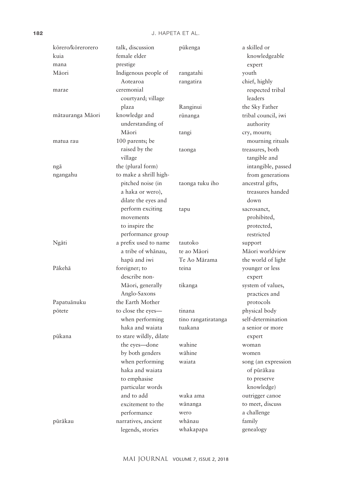| kōrero/kōrerorero | talk, discussion        | pūkenga             | a skilled or        |
|-------------------|-------------------------|---------------------|---------------------|
| kuia              | female elder            |                     | knowledgeable       |
| mana              | prestige                |                     | expert              |
| Māori             | Indigenous people of    | rangatahi           | youth               |
|                   | Aotearoa                | rangatira           | chief, highly       |
| marae             | ceremonial              |                     | respected tribal    |
|                   | courtyard; village      |                     | leaders             |
|                   | plaza                   | Ranginui            | the Sky Father      |
| mātauranga Māori  | knowledge and           | rūnanga             | tribal council, iwi |
|                   | understanding of        |                     | authority           |
|                   | Māori                   | tangi               | cry, mourn;         |
| matua rau         | 100 parents; be         |                     | mourning rituals    |
|                   | raised by the           | taonga              | treasures, both     |
|                   | village                 |                     | tangible and        |
| ngā               | the (plural form)       |                     | intangible, passed  |
| ngangahu          | to make a shrill high-  |                     | from generations    |
|                   | pitched noise (in       | taonga tuku iho     | ancestral gifts,    |
|                   | a haka or wero),        |                     | treasures handed    |
|                   | dilate the eyes and     |                     | down                |
|                   | perform exciting        | tapu                | sacrosanct,         |
|                   | movements               |                     | prohibited,         |
|                   | to inspire the          |                     | protected,          |
|                   | performance group       |                     | restricted          |
| Ngāti             | a prefix used to name   | tautoko             | support             |
|                   | a tribe of whānau,      | te ao Māori         | Māori worldview     |
|                   | hapū and iwi            | Te Ao Mārama        | the world of light  |
| Pākehā            | foreigner; to           | teina               | younger or less     |
|                   | describe non-           |                     | expert              |
|                   | Māori, generally        | tikanga             | system of values,   |
|                   | Anglo-Saxons            |                     | practices and       |
| Papatuānuku       | the Earth Mother        |                     | protocols           |
| pōtete            | to close the eyes-      | tinana              | physical body       |
|                   | when performing         | tino rangatiratanga | self-determination  |
|                   | haka and waiata         | tuakana             | a senior or more    |
| pūkana            | to stare wildly, dilate |                     | expert              |
|                   | the eyes-done           | wahine              | woman               |
|                   | by both genders         | wāhine              | women               |
|                   | when performing         | waiata              | song (an expression |
|                   | haka and waiata         |                     | of pūrākau          |
|                   | to emphasise            |                     | to preserve         |
|                   | particular words        |                     | knowledge)          |
|                   | and to add              | waka ama            | outrigger canoe     |
|                   | excitement to the       | wānanga             | to meet, discuss    |
|                   | performance             | wero                | a challenge         |
| pūrākau           | narratives, ancient     | whānau              | family              |
|                   | legends, stories        | whakapapa           | genealogy           |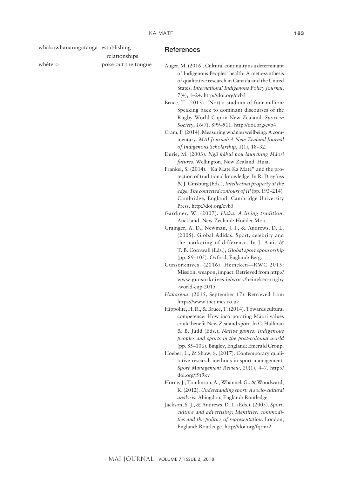| whakawhanaungatanga establishing | relationships       | <b>References</b>                                                                                                                                                                                                                                    |
|----------------------------------|---------------------|------------------------------------------------------------------------------------------------------------------------------------------------------------------------------------------------------------------------------------------------------|
| whētero                          | poke out the tongue | Auger, M. (2016). Cultural continuity as a determinant<br>of Indigenous Peoples' health: A meta-synthesis<br>of qualitative research in Canada and the United<br>States. International Indigenous Policy Journal,<br>7(4), 1-24. http://doi.org/cvb3 |
|                                  |                     | Bruce, T. (2013). (Not) a stadium of four million:<br>Speaking back to dominant discourses of the<br>Rugby World Cup in New Zealand. Sport in<br>Society, 16(7), 899-911. http://doi.org/cvb4                                                        |
|                                  |                     | Cram, F. (2014). Measuring whānau wellbeing: A com-<br>mentary. MAI Journal: A New Zealand Journal<br>of Indigenous Scholarship, 3(1), 18-32.                                                                                                        |
|                                  |                     | Durie, M. (2003). Ngā kāhui pou launching Māori                                                                                                                                                                                                      |
|                                  |                     | futures. Wellington, New Zealand: Huia.<br>Frankel, S. (2014). "Ka Mate Ka Mate" and the pro-<br>tection of traditional knowledge. In R. Dreyfuss<br>& J. Ginsburg (Eds.), Intellectual property at the                                              |
|                                  |                     | edge: The contested contours of IP (pp. 193-214).<br>Cambridge, England: Cambridge University<br>Press. http://doi.org/cvb5                                                                                                                          |
|                                  |                     | Gardiner, W. (2007). Haka: A living tradition.                                                                                                                                                                                                       |
|                                  |                     | Auckland, New Zealand: Hodder Moa.<br>Grainger, A. D., Newman, J. I., & Andrews, D. L.                                                                                                                                                               |
|                                  |                     | (2005). Global Adidas: Sport, celebrity and                                                                                                                                                                                                          |
|                                  |                     | the marketing of difference. In J. Amis &<br>T. B. Cornwall (Eds.), Global sport sponsorship<br>(pp. 89-105). Oxford, England: Berg.                                                                                                                 |
|                                  |                     | Gunsorknives. (2016). Heineken-RWC 2015:                                                                                                                                                                                                             |
|                                  |                     | Mission, weapon, impact. Retrieved from http://<br>www.gunsorknives.ie/work/heineken-rugby<br>-world-cup-2015                                                                                                                                        |
|                                  |                     | Hakarena. (2015, September 17). Retrieved from                                                                                                                                                                                                       |
|                                  |                     | https://www.thetimes.co.uk<br>Hippolite, H. R., & Bruce, T. (2014). Towards cultural                                                                                                                                                                 |
|                                  |                     | competence: How incorporating Māori values<br>could benefit New Zealand sport. In C. Hallinan<br>& B. Judd (Eds.), Native games: Indigenous<br>peoples and sports in the post-colonial world                                                         |
|                                  |                     | (pp. 85-106). Bingley, England: Emerald Group.                                                                                                                                                                                                       |
|                                  |                     | Hoeber, L., & Shaw, S. (2017). Contemporary quali-<br>tative research methods in sport management.<br>Sport Management Review, 20(1), 4-7. http://<br>doi.org/f9t9kv                                                                                 |
|                                  |                     | Horne, J., Tomlinson, A., Whannel, G., & Woodward,                                                                                                                                                                                                   |
|                                  |                     | K. (2012). Understanding sport: A socio-cultural<br>analysis. Abingdon, England: Routledge.                                                                                                                                                          |
|                                  |                     | Jackson, S. J., & Andrews, D. L. (Eds.). (2005). Sport,<br>culture and advertising: Identities, commodi-<br>ties and the politics of representation. London,<br>England: Routledge. http://doi.org/fqtmr2                                            |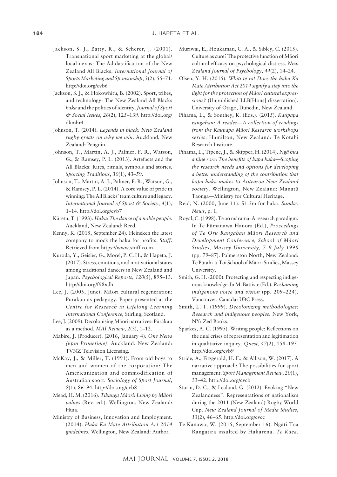- Jackson, S. J., Batty, R., & Scherer, J. (2001). Transnational sport marketing at the global/ local nexus: The Adidas-ification of the New Zealand All Blacks. *International Journal of Sports Marketing and Sponsorship*, *3*(2), 55–71. <http://doi.org/cvb6>
- Jackson, S. J., & Hokowhitu, B. (2002). Sport, tribes, and technology: The New Zealand All Blacks *haka* and the politics of identity. *Journal of Sport & Social Issues*, *26*(2), 125–139. [http://doi.org/](http://doi.org/dkmhr4) [dkmhr4](http://doi.org/dkmhr4)
- Johnson, T. (2014). *Legends in black: New Zealand rugby greats on why we win*. Auckland, New Zealand: Penguin.
- Johnson, T., Martin, A. J., Palmer, F. R., Watson, G., & Ramsey, P. L. (2013). Artefacts and the All Blacks: Rites, rituals, symbols and stories. *Sporting Traditions*, *30*(1), 43–59.
- Johnson, T., Martin, A. J., Palmer, F. R., Watson, G., & Ramsey, P. L. (2014). A core value of pride in winning: The All Blacks' team culture and legacy. *International Journal of Sport & Society*, *4*(1), 1–14.<http://doi.org/cvb7>
- Käretu, T. (1993). *Haka: The dance of a noble people*. Auckland, New Zealand: Reed.
- Kenny, K. (2015, September 24). Heineken the latest company to mock the haka for profits. *Stuff*. Retrieved from [https://www.stuff.co.nz](file:///C:\Users\jwhapeta\AppData\Local\Microsoft\Windows\INetCache\Content.Outlook\Z99NW6E1\%09http:\i.stuff.co.nz\business\better-business\72373708\heineken-the-latest-%09company-to-mock-the-haka-for-profits)
- Kuroda, Y., Geisler, G., Morel, P. C. H., & Hapeta, J. (2017). Stress, emotions, and motivational states among traditional dancers in New Zealand and Japan. *Psychological Reports*, *120*(5), 895–13. <http://doi.org/f98xdh>
- Lee, J. (2005, June). Mäori cultural regeneration: Püräkau as pedagogy. Paper presented at the *Centre for Research in Lifelong Learning International Conference*, Stirling, Scotland.
- Lee, J. (2009). Decolonising Mäori narratives: Püräkau as a method. *MAI Review*, *2*(3), 1–12.
- Mabire, J. (Producer). (2016, January 4). *One News (6pm Primetime)*. Auckland, New Zealand: TVNZ Television Licensing.
- McKay, J., & Miller, T. (1991). From old boys to men and women of the corporation: The Americanization and commodification of Australian sport. *Sociology of Sport Journal*, *8*(1), 86–94. <http://doi.org/cvb8>
- Mead, H. M. (2016). *Tikanga Mäori: Living by Mäori values* (Rev. ed.). Wellington, New Zealand: Huia.
- Ministry of Business, Innovation and Employment. (2014). *Haka Ka Mate Attribution Act 2014 guidelines*. Wellington, New Zealand: Author.
- Muriwai, E., Houkamau, C. A., & Sibley, C. (2015). Culture as cure? The protective function of Mäori cultural efficacy on psychological distress. *New Zealand Journal of Psychology*, *44*(2), 14–24.
- Olsen, Y. H. (2015). *Whiti te rä! Does the haka Ka Mate Attribution Act 2014 signify a step into the light for the protection of Mäori cultural expressions?* (Unpublished LLB[Hons] dissertation). University of Otago, Dunedin, New Zealand.
- Pihama, L., & Southey, K. (Eds.). (2015). *Kaupapa rangahau: A reader—A collection of readings from the Kaupapa Mäori Research workshops series*. Hamilton, New Zealand: Te Kotahi Research Institute.
- Pihama, L., Tipene, J., & Skipper, H. (2014). *Ngä hua a täne rore: The benefits of kapa haka—Scoping the research needs and options for developing a better understanding of the contribution that kapa haka makes to Aotearoa New Zealand society*. Wellington, New Zealand: Manatü Taonga—Ministry for Cultural Heritage.
- Reid, N. (2000, June 11). \$1.5m for haka. *Sunday News*, p. 1.
- Royal, C. (1998). Te ao märama: A research paradigm. In Te Pümanawa Hauora (Ed.), *Proceedings of Te Oru Rangahau Mäori Research and Development Conference, School of Mäori Studies, Massey University, 7–9 July 1998* (pp. 79–87). Palmerston North, New Zealand: Te Pütahi-ä-Toi School of Mäori Studies, Massey University.
- Smith, G. H. (2000). Protecting and respecting indigenous knowledge. In M. Battiste (Ed.), *Reclaiming indigenous voice and vision* (pp. 209–224). Vancouver, Canada: UBC Press.
- Smith, L. T. (1999). *Decolonizing methodologies: Research and indigenous peoples*. New York, NY: Zed Books.
- Sparkes, A. C. (1995). Writing people: Reflections on the dual crises of representation and legitimation in qualitative inquiry. *Quest*, *47*(2), 158–195. <http://doi.org/cvb9>
- Stride, A., Fitzgerald, H. F., & Allison, W. (2017). A narrative approach: The possibilities for sport management. *Sport Management Review*, *20*(1), 33–42.<http://doi.org/cvcb>
- Sturm, D. C., & Lealand, G. (2012). Evoking "New Zealandness": Representations of nationalism during the 2011 (New Zealand) Rugby World Cup. *New Zealand Journal of Media Studies*, *13*(2), 46–65. <http://doi.org/cvcc>
- Te Kanawa, W. (2015, September 16). Ngäti Toa Rangatira insulted by Hakarena. *Te Kaea*.